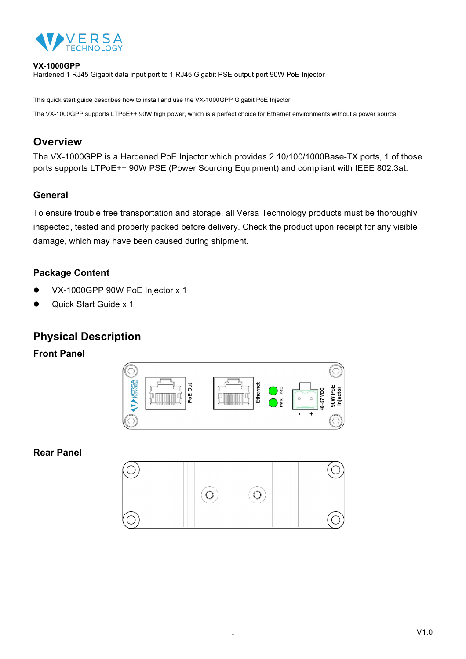

#### **VX-1000GPP**

Hardened 1 RJ45 Gigabit data input port to 1 RJ45 Gigabit PSE output port 90W PoE Injector

This quick start guide describes how to install and use the VX-1000GPP Gigabit PoE Injector.

The VX-1000GPP supports LTPoE++ 90W high power, which is a perfect choice for Ethernet environments without a power source.

# **Overview**

The VX-1000GPP is a Hardened PoE Injector which provides 2 10/100/1000Base-TX ports, 1 of those ports supports LTPoE++ 90W PSE (Power Sourcing Equipment) and compliant with IEEE 802.3at.

### **General**

To ensure trouble free transportation and storage, all Versa Technology products must be thoroughly inspected, tested and properly packed before delivery. Check the product upon receipt for any visible damage, which may have been caused during shipment.

## **Package Content**

- VX-1000GPP 90W PoE Injector x 1
- l Quick Start Guide x 1

# **Physical Description**

#### **Front Panel**



**Rear Panel**

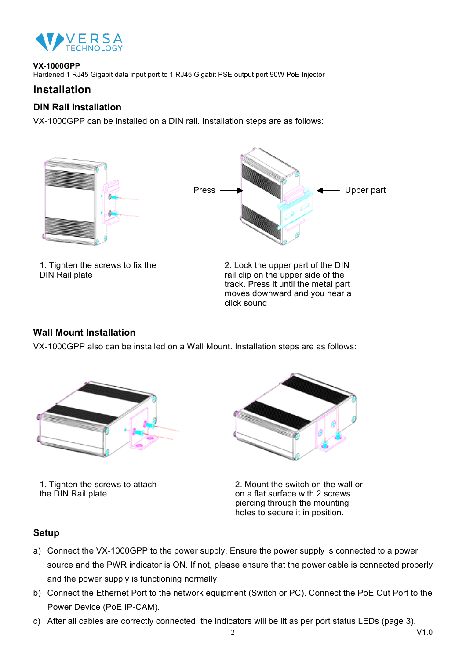

#### **VX-1000GPP**

Hardened 1 RJ45 Gigabit data input port to 1 RJ45 Gigabit PSE output port 90W PoE Injector

## **Installation**

### **DIN Rail Installation**

VX-1000GPP can be installed on a DIN rail. Installation steps are as follows:





1. Tighten the screws to fix the DIN Rail plate



#### **Wall Mount Installation**

VX-1000GPP also can be installed on a Wall Mount. Installation steps are as follows:



1. Tighten the screws to attach the DIN Rail plate



2. Mount the switch on the wall or on a flat surface with 2 screws piercing through the mounting holes to secure it in position.

#### **Setup**

- a) Connect the VX-1000GPP to the power supply. Ensure the power supply is connected to a power source and the PWR indicator is ON. If not, please ensure that the power cable is connected properly and the power supply is functioning normally.
- b) Connect the Ethernet Port to the network equipment (Switch or PC). Connect the PoE Out Port to the Power Device (PoE IP-CAM).
- c) After all cables are correctly connected, the indicators will be lit as per port status LEDs (page 3).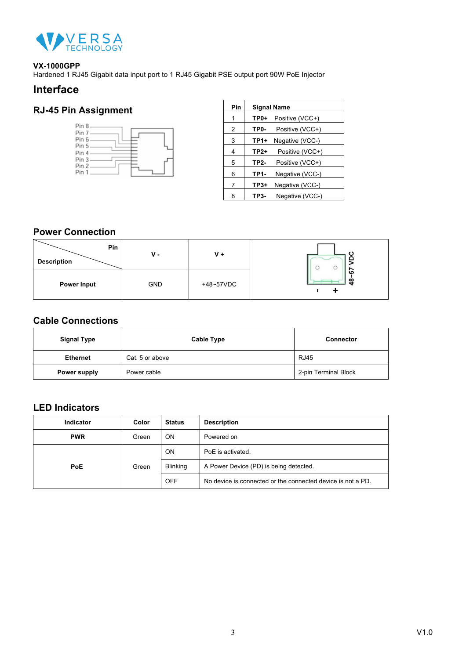

#### **VX-1000GPP**

Hardened 1 RJ45 Gigabit data input port to 1 RJ45 Gigabit PSE output port 90W PoE Injector

## **Interface**

# **RJ-45 Pin Assignment**



| Pin | <b>Signal Name</b>      |                 |  |
|-----|-------------------------|-----------------|--|
| 1   | Positive (VCC+)<br>TP0+ |                 |  |
| 2   | TP0-                    | Positive (VCC+) |  |
| 3   | TP1+                    | Negative (VCC-) |  |
| 4   | TP2+                    | Positive (VCC+) |  |
| 5   | TP2-                    | Positive (VCC+) |  |
| 6   | TP1-<br>Negative (VCC-) |                 |  |
| 7   | $TP3+$                  | Negative (VCC-) |  |
| 8   | TP3-                    | Negative (VCC-) |  |

### **Power Connection**

| Pin<br><b>Description</b> | $V -$      | $V +$     |                             |
|---------------------------|------------|-----------|-----------------------------|
| <b>Power Input</b>        | <b>GND</b> | +48~57VDC | $\overline{10}$<br>$\infty$ |

## **Cable Connections**

| <b>Signal Type</b> | <b>Cable Type</b> | <b>Connector</b>     |
|--------------------|-------------------|----------------------|
| <b>Ethernet</b>    | Cat. 5 or above   | <b>RJ45</b>          |
| Power supply       | Power cable       | 2-pin Terminal Block |

### **LED Indicators**

| Indicator  | Color | <b>Status</b>           | <b>Description</b>                                          |
|------------|-------|-------------------------|-------------------------------------------------------------|
| <b>PWR</b> | Green | <b>ON</b><br>Powered on |                                                             |
|            | Green | ON                      | PoE is activated.                                           |
| <b>PoE</b> |       | <b>Blinking</b>         | A Power Device (PD) is being detected.                      |
|            |       | OFF                     | No device is connected or the connected device is not a PD. |